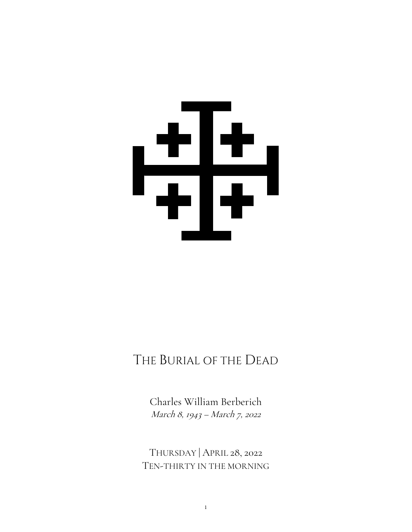# 

# THE BURIAL OF THE DEAD

Charles William Berberich March 8, 1943 – March 7, 2022

THURSDAY | APRIL 28, 2022 TEN-THIRTY IN THE MORNING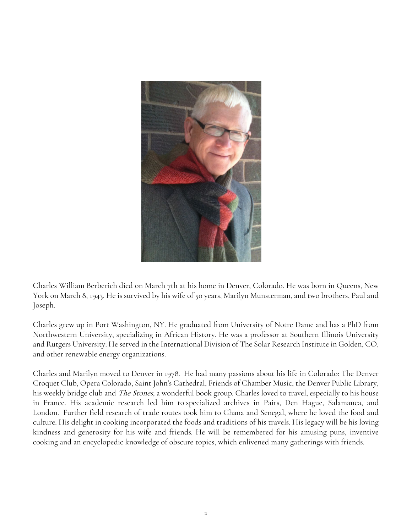

Charles William Berberich died on March 7th at his home in Denver, Colorado. He was born in Queens, New York on March 8, 1943. He is survived by his wife of 50 years, Marilyn Munsterman, and two brothers, Paul and Joseph.

Charles grew up in Port Washington, NY. He graduated from University of Notre Dame and has a PhD from Northwestern University, specializing in African History. He was a professor at Southern Illinois University and Rutgers University. He served in the International Division of The Solar Research Institute in Golden, CO, and other renewable energy organizations.

Charles and Marilyn moved to Denver in 1978. He had many passions about his life in Colorado: The Denver Croquet Club, Opera Colorado, Saint John's Cathedral, Friends of Chamber Music, the Denver Public Library, his weekly bridge club and *The Stones*, a wonderful book group. Charles loved to travel, especially to his house in France. His academic research led him to specialized archives in Pairs, Den Hague, Salamanca, and London. Further field research of trade routes took him to Ghana and Senegal, where he loved the food and culture. His delight in cooking incorporated the foods and traditions of his travels. His legacy will be his loving kindness and generosity for his wife and friends. He will be remembered for his amusing puns, inventive cooking and an encyclopedic knowledge of obscure topics, which enlivened many gatherings with friends.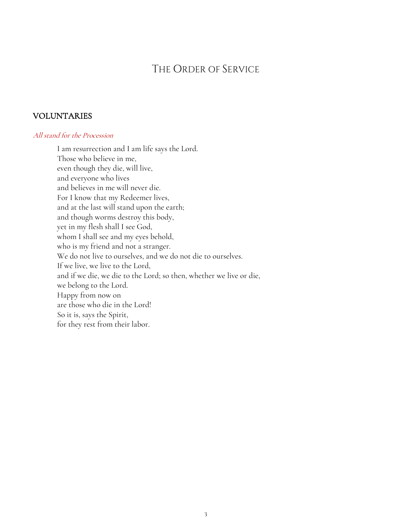# THE ORDER OF SERVICE

# VOLUNTARIES

### All stand for the Procession

I am resurrection and I am life says the Lord. Those who believe in me, even though they die, will live, and everyone who lives and believes in me will never die. For I know that my Redeemer lives, and at the last will stand upon the earth; and though worms destroy this body, yet in my flesh shall I see God, whom I shall see and my eyes behold, who is my friend and not a stranger. We do not live to ourselves, and we do not die to ourselves. If we live, we live to the Lord, and if we die, we die to the Lord; so then, whether we live or die, we belong to the Lord. Happy from now on are those who die in the Lord! So it is, says the Spirit, for they rest from their labor.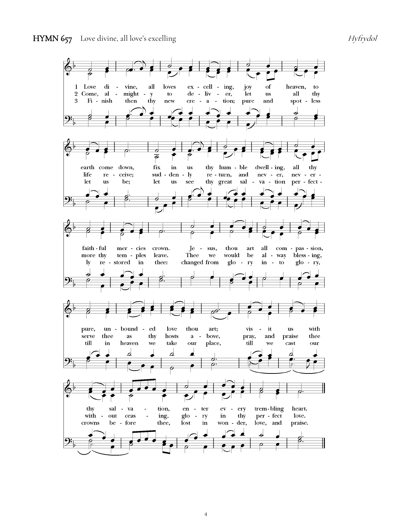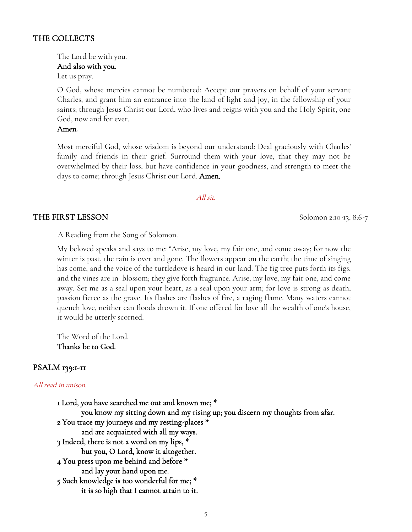### THE COLLECTS

The Lord be with you.

### And also with you.

Let us pray.

O God, whose mercies cannot be numbered: Accept our prayers on behalf of your servant Charles, and grant him an entrance into the land of light and joy, in the fellowship of your saints; through Jesus Christ our Lord, who lives and reigns with you and the Holy Spirit, one God, now and for ever.

Amen.

Most merciful God, whose wisdom is beyond our understand: Deal graciously with Charles' family and friends in their grief. Surround them with your love, that they may not be overwhelmed by their loss, but have confidence in your goodness, and strength to meet the days to come; through Jesus Christ our Lord. **Amen.** 

### All sit.

### THE FIRST LESSON Solomon 2:10-13, 8:6-7

A Reading from the Song of Solomon.

My beloved speaks and says to me: "Arise, my love, my fair one, and come away; for now the winter is past, the rain is over and gone. The flowers appear on the earth; the time of singing has come, and the voice of the turtledove is heard in our land. The fig tree puts forth its figs, and the vines are in blossom; they give forth fragrance. Arise, my love, my fair one, and come away. Set me as a seal upon your heart, as a seal upon your arm; for love is strong as death, passion fierce as the grave. Its flashes are flashes of fire, a raging flame. Many waters cannot quench love, neither can floods drown it. If one offered for love all the wealth of one's house, it would be utterly scorned.

The Word of the Lord. Thanks be to God.

# PSALM 139:1-11

### All read in unison.

1 Lord, you have searched me out and known me; \* you know my sitting down and my rising up; you discern my thoughts from afar. 2 You trace my journeys and my resting-places \* and are acquainted with all my ways. 3 Indeed, there is not a word on my lips, \* but you, O Lord, know it altogether. 4 You press upon me behind and before \* and lay your hand upon me. 5 Such knowledge is too wonderful for me; \* it is so high that I cannot attain to it.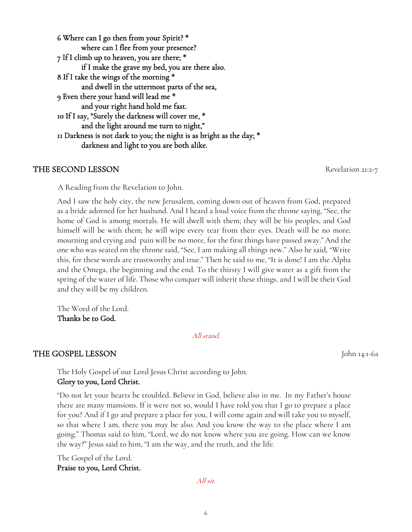6 Where can I go then from your Spirit? \* where can I flee from your presence? 7 If I climb up to heaven, you are there; \* if I make the grave my bed, you are there also. 8 If I take the wings of the morning \* and dwell in the uttermost parts of the sea, 9 Even there your hand will lead me \* and your right hand hold me fast. 10 If I say, "Surely the darkness will cover me, \* and the light around me turn to night," 11 Darkness is not dark to you; the night is as bright as the day; \* darkness and light to you are both alike.

# THE SECOND LESSON Revelation 21:2-7

A Reading from the Revelation to John.

And I saw the holy city, the new Jerusalem, coming down out of heaven from God, prepared as a bride adorned for her husband. And I heard a loud voice from the throne saying, "See, the home of God is among mortals. He will dwell with them; they will be his peoples, and God himself will be with them; he will wipe every tear from their eyes. Death will be no more; mourning and crying and pain will be no more, for the first things have passed away." And the one who was seated on the throne said, "See, I am making all things new." Also he said, "Write this, for these words are trustworthy and true." Then he said to me, "It is done! I am the Alpha and the Omega, the beginning and the end. To the thirsty I will give water as a gift from the spring of the water of life. Those who conquer will inherit these things, and I will be their God and they will be my children.

The Word of the Lord. Thanks be to God.

All stand.

# THE GOSPEL LESSON John 14:1-6a

The Holy Gospel of our Lord Jesus Christ according to John. Glory to you, Lord Christ.

"Do not let your hearts be troubled. Believe in God, believe also in me. In my Father's house there are many mansions. If it were not so, would I have told you that I go to prepare a place for you? And if I go and prepare a place for you, I will come again and will take you to myself, so that where I am, there you may be also. And you know the way to the place where I am going." Thomas said to him, "Lord, we do not know where you are going. How can we know the way?" Jesus said to him, "I am the way, and the truth, and the life.

The Gospel of the Lord. Praise to you, Lord Christ.

All sit.

6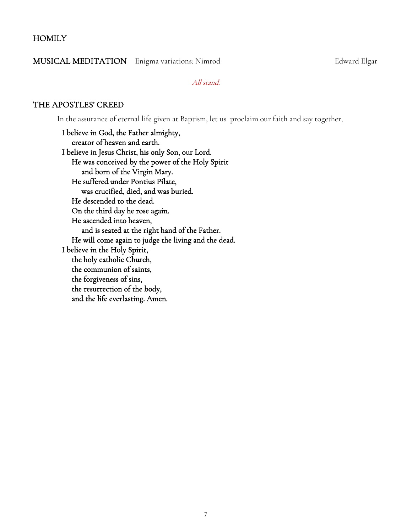### **HOMILY**

### MUSICAL MEDITATION Enigma variations: Nimrod Edward Elgar

All stand.

### THE APOSTLES' CREED

In the assurance of eternal life given at Baptism, let us proclaim our faith and say together,

I believe in God, the Father almighty, creator of heaven and earth. I believe in Jesus Christ, his only Son, our Lord. He was conceived by the power of the Holy Spirit and born of the Virgin Mary. He suffered under Pontius Pilate, was crucified, died, and was buried. He descended to the dead. On the third day he rose again. He ascended into heaven, and is seated at the right hand of the Father. He will come again to judge the living and the dead. I believe in the Holy Spirit, the holy catholic Church, the communion of saints, the forgiveness of sins, the resurrection of the body, and the life everlasting. Amen.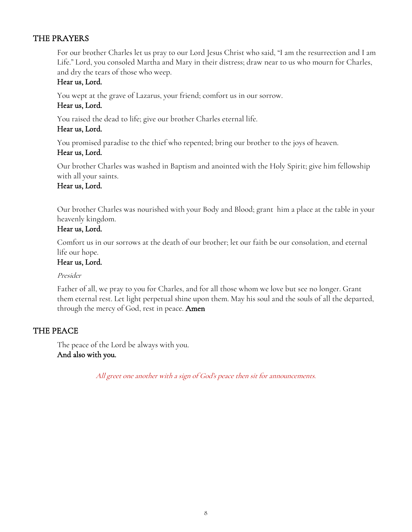# THE PRAYERS

For our brother Charles let us pray to our Lord Jesus Christ who said, "I am the resurrection and I am Life." Lord, you consoled Martha and Mary in their distress; draw near to us who mourn for Charles, and dry the tears of those who weep.

# Hear us, Lord.

You wept at the grave of Lazarus, your friend; comfort us in our sorrow.

# Hear us, Lord.

You raised the dead to life; give our brother Charles eternal life.

# Hear us, Lord.

You promised paradise to the thief who repented; bring our brother to the joys of heaven.

# Hear us, Lord.

Our brother Charles was washed in Baptism and anointed with the Holy Spirit; give him fellowship with all your saints.

# Hear us, Lord.

Our brother Charles was nourished with your Body and Blood; grant him a place at the table in your heavenly kingdom.

# Hear us, Lord.

Comfort us in our sorrows at the death of our brother; let our faith be our consolation, and eternal life our hope.

# Hear us, Lord.

# Presider

Father of all, we pray to you for Charles, and for all those whom we love but see no longer. Grant them eternal rest. Let light perpetual shine upon them. May his soul and the souls of all the departed, through the mercy of God, rest in peace. **Amen** 

# THE PEACE

The peace of the Lord be always with you. And also with you.

All greet one another with a sign of God's peace then sit for announcements.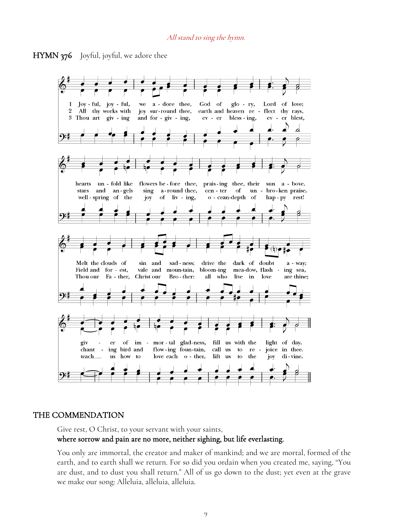### All stand to sing the hymn.





### THE COMMENDATION

Give rest, O Christ, to your servant with your saints, where sorrow and pain are no more, neither sighing, but life everlasting.

You only are immortal, the creator and maker of mankind; and we are mortal, formed of the earth, and to earth shall we return. For so did you ordain when you created me, saying, "You are dust, and to dust you shall return." All of us go down to the dust; yet even at the grave we make our song: Alleluia, alleluia, alleluia.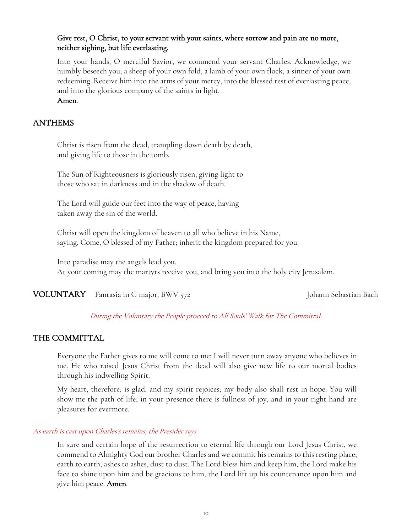# Give rest, O Christ, to your servant with your saints, where sorrow and pain are no more, neither sighing, but life everlasting.

Into your hands, O merciful Savior, we commend your servant Charles. Acknowledge, we humbly beseech you, a sheep of your own fold, a lamb of your own flock, a sinner of your own redeeming. Receive him into the arms of your mercy, into the blessed rest of everlasting peace, and into the glorious company of the saints in light. Amen.

### ANTHEMS

Christ is risen from the dead, trampling down death by death, and giving life to those in the tomb.

The Sun of Righteousness is gloriously risen, giving light to those who sat in darkness and in the shadow of death.

The Lord will guide our feet into the way of peace, having taken away the sin of the world.

Christ will open the kingdom of heaven to all who believe in his Name, saying, Come, O blessed of my Father; inherit the kingdom prepared for you.

Into paradise may the angels lead you. At your coming may the martyrs receive you, and bring you into the holy city Jerusalem.

VOLUNTARY Fantasia in G major, BWV 572 Johann Sebastian Bach

# During the Voluntary the People proceed to All Souls' Walk for The Committal.

# THE COMMITTAL

Everyone the Father gives to me will come to me; I will never turn away anyone who believes in me. He who raised Jesus Christ from the dead will also give new life to our mortal bodies through his indwelling Spirit.

My heart, therefore, is glad, and my spirit rejoices; my body also shall rest in hope. You will show me the path of life; in your presence there is fullness of joy, and in your right hand are pleasures for evermore.

### As earth is cast upon Charles's remains, the Presider says

In sure and certain hope of the resurrection to eternal life through our Lord Jesus Christ, we commend to Almighty God our brother Charles and we commit his remains to this resting place; earth to earth, ashes to ashes, dust to dust. The Lord bless him and keep him, the Lord make his face to shine upon him and be gracious to him, the Lord lift up his countenance upon him and give him peace. Amen.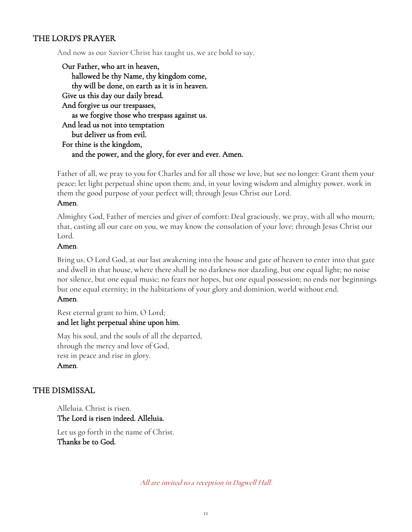# THE LORD'S PRAYER

And now as our Savior Christ has taught us, we are bold to say,

Our Father, who art in heaven, hallowed be thy Name, thy kingdom come, thy will be done, on earth as it is in heaven. Give us this day our daily bread. And forgive us our trespasses, as we forgive those who trespass against us. And lead us not into temptation but deliver us from evil. For thine is the kingdom, and the power, and the glory, for ever and ever. Amen.

Father of all, we pray to you for Charles and for all those we love, but see no longer: Grant them your peace; let light perpetual shine upon them; and, in your loving wisdom and almighty power, work in them the good purpose of your perfect will; through Jesus Christ our Lord.

### Amen.

Almighty God, Father of mercies and giver of comfort: Deal graciously, we pray, with all who mourn; that, casting all our care on you, we may know the consolation of your love; through Jesus Christ our Lord.

### Amen.

Bring us, O Lord God, at our last awakening into the house and gate of heaven to enter into that gate and dwell in that house, where there shall be no darkness nor dazzling, but one equal light; no noise nor silence, but one equal music; no fears nor hopes, but one equal possession; no ends nor beginnings but one equal eternity; in the habitations of your glory and dominion, world without end.

### Amen.

Rest eternal grant to him, O Lord; and let light perpetual shine upon him.

May his soul, and the souls of all the departed, through the mercy and love of God, rest in peace and rise in glory. Amen.

# THE DISMISSAL

Alleluia. Christ is risen. The Lord is risen indeed. Alleluia.

Let us go forth in the name of Christ. Thanks be to God.

All are invited to a reception in Dagwell Hall.